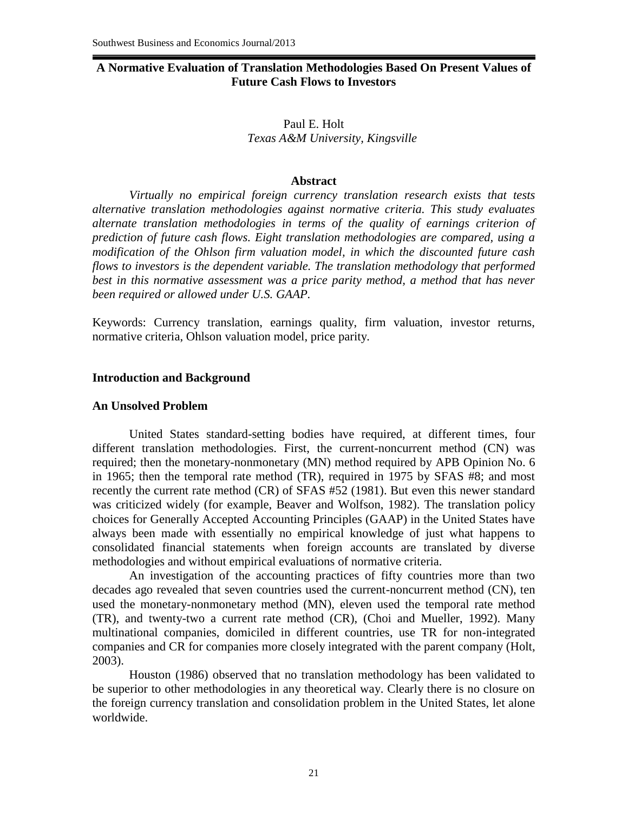# **A Normative Evaluation of Translation Methodologies Based On Present Values of Future Cash Flows to Investors**

## Paul E. Holt *Texas A&M University, Kingsville*

#### **Abstract**

*Virtually no empirical foreign currency translation research exists that tests alternative translation methodologies against normative criteria. This study evaluates alternate translation methodologies in terms of the quality of earnings criterion of prediction of future cash flows. Eight translation methodologies are compared, using a modification of the Ohlson firm valuation model, in which the discounted future cash flows to investors is the dependent variable. The translation methodology that performed best in this normative assessment was a price parity method, a method that has never been required or allowed under U.S. GAAP.*

Keywords: Currency translation, earnings quality, firm valuation, investor returns, normative criteria, Ohlson valuation model, price parity*.*

### **Introduction and Background**

### **An Unsolved Problem**

United States standard-setting bodies have required, at different times, four different translation methodologies. First, the current-noncurrent method (CN) was required; then the monetary-nonmonetary (MN) method required by APB Opinion No. 6 in 1965; then the temporal rate method (TR), required in 1975 by SFAS #8; and most recently the current rate method (CR) of SFAS #52 (1981). But even this newer standard was criticized widely (for example, Beaver and Wolfson, 1982). The translation policy choices for Generally Accepted Accounting Principles (GAAP) in the United States have always been made with essentially no empirical knowledge of just what happens to consolidated financial statements when foreign accounts are translated by diverse methodologies and without empirical evaluations of normative criteria.

An investigation of the accounting practices of fifty countries more than two decades ago revealed that seven countries used the current-noncurrent method (CN), ten used the monetary-nonmonetary method (MN), eleven used the temporal rate method (TR), and twenty-two a current rate method (CR), (Choi and Mueller, 1992). Many multinational companies, domiciled in different countries, use TR for non-integrated companies and CR for companies more closely integrated with the parent company (Holt, 2003).

Houston (1986) observed that no translation methodology has been validated to be superior to other methodologies in any theoretical way. Clearly there is no closure on the foreign currency translation and consolidation problem in the United States, let alone worldwide.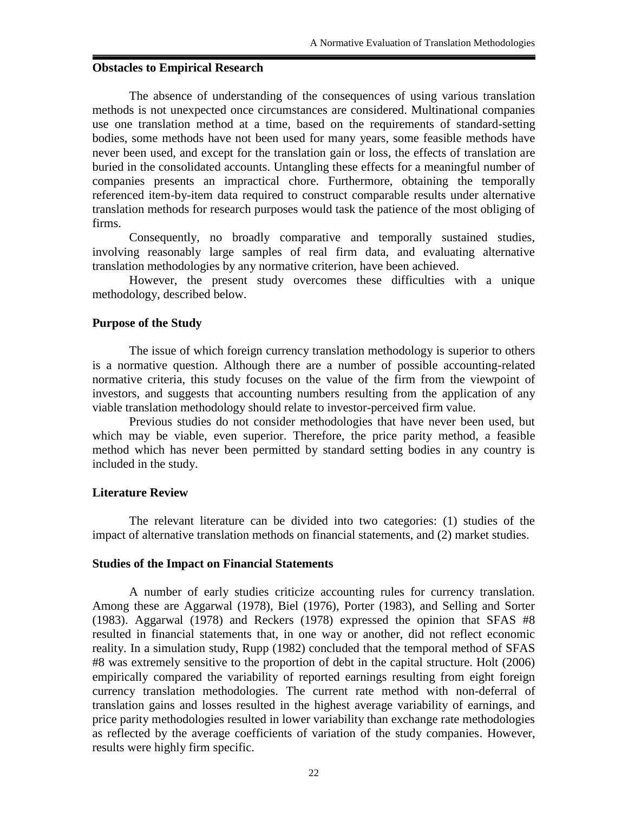### **Obstacles to Empirical Research**

The absence of understanding of the consequences of using various translation methods is not unexpected once circumstances are considered. Multinational companies use one translation method at a time, based on the requirements of standard-setting bodies, some methods have not been used for many years, some feasible methods have never been used, and except for the translation gain or loss, the effects of translation are buried in the consolidated accounts. Untangling these effects for a meaningful number of companies presents an impractical chore. Furthermore, obtaining the temporally referenced item-by-item data required to construct comparable results under alternative translation methods for research purposes would task the patience of the most obliging of firms.

Consequently, no broadly comparative and temporally sustained studies, involving reasonably large samples of real firm data, and evaluating alternative translation methodologies by any normative criterion, have been achieved.

However, the present study overcomes these difficulties with a unique methodology, described below.

### **Purpose of the Study**

The issue of which foreign currency translation methodology is superior to others is a normative question. Although there are a number of possible accounting-related normative criteria, this study focuses on the value of the firm from the viewpoint of investors, and suggests that accounting numbers resulting from the application of any viable translation methodology should relate to investor-perceived firm value.

Previous studies do not consider methodologies that have never been used, but which may be viable, even superior. Therefore, the price parity method, a feasible method which has never been permitted by standard setting bodies in any country is included in the study.

## **Literature Review**

The relevant literature can be divided into two categories: (1) studies of the impact of alternative translation methods on financial statements, and (2) market studies.

### **Studies of the Impact on Financial Statements**

A number of early studies criticize accounting rules for currency translation. Among these are Aggarwal (1978), Biel (1976), Porter (1983), and Selling and Sorter (1983). Aggarwal (1978) and Reckers (1978) expressed the opinion that SFAS #8 resulted in financial statements that, in one way or another, did not reflect economic reality. In a simulation study, Rupp (1982) concluded that the temporal method of SFAS #8 was extremely sensitive to the proportion of debt in the capital structure. Holt (2006) empirically compared the variability of reported earnings resulting from eight foreign currency translation methodologies. The current rate method with non-deferral of translation gains and losses resulted in the highest average variability of earnings, and price parity methodologies resulted in lower variability than exchange rate methodologies as reflected by the average coefficients of variation of the study companies. However, results were highly firm specific.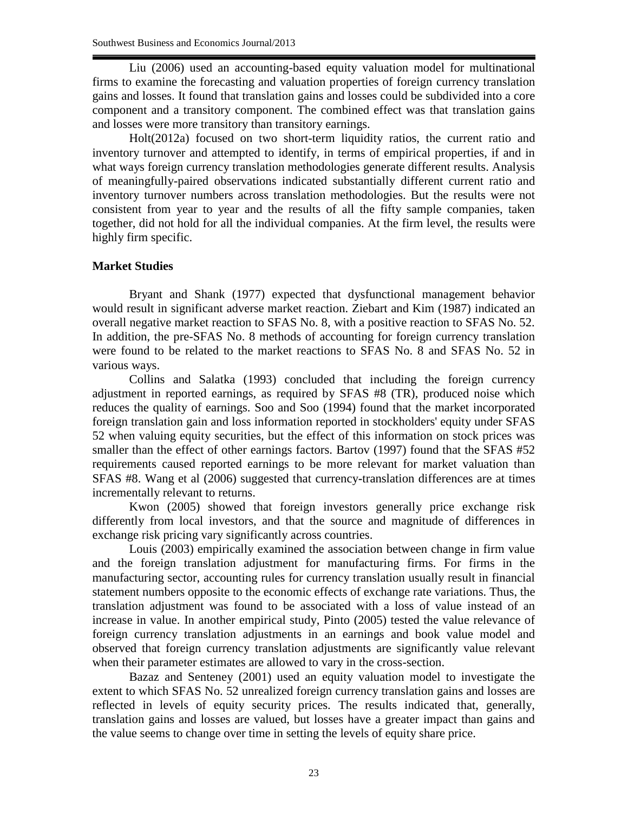Liu (2006) used an accounting-based equity valuation model for multinational firms to examine the forecasting and valuation properties of foreign currency translation gains and losses. It found that translation gains and losses could be subdivided into a core component and a transitory component. The combined effect was that translation gains and losses were more transitory than transitory earnings.

Holt(2012a) focused on two short-term liquidity ratios, the current ratio and inventory turnover and attempted to identify, in terms of empirical properties, if and in what ways foreign currency translation methodologies generate different results. Analysis of meaningfully-paired observations indicated substantially different current ratio and inventory turnover numbers across translation methodologies. But the results were not consistent from year to year and the results of all the fifty sample companies, taken together, did not hold for all the individual companies. At the firm level, the results were highly firm specific.

# **Market Studies**

Bryant and Shank (1977) expected that dysfunctional management behavior would result in significant adverse market reaction. Ziebart and Kim (1987) indicated an overall negative market reaction to SFAS No. 8, with a positive reaction to SFAS No. 52. In addition, the pre-SFAS No. 8 methods of accounting for foreign currency translation were found to be related to the market reactions to SFAS No. 8 and SFAS No. 52 in various ways.

Collins and Salatka (1993) concluded that including the foreign currency adjustment in reported earnings, as required by SFAS #8 (TR), produced noise which reduces the quality of earnings. Soo and Soo (1994) found that the market incorporated foreign translation gain and loss information reported in stockholders' equity under SFAS 52 when valuing equity securities, but the effect of this information on stock prices was smaller than the effect of other earnings factors. Bartov (1997) found that the SFAS #52 requirements caused reported earnings to be more relevant for market valuation than SFAS #8. Wang et al (2006) suggested that currency**-**translation differences are at times incrementally relevant to returns.

Kwon (2005) showed that foreign investors generally price exchange risk differently from local investors, and that the source and magnitude of differences in exchange risk pricing vary significantly across countries.

Louis (2003) empirically examined the association between change in firm value and the foreign translation adjustment for manufacturing firms. For firms in the manufacturing sector, accounting rules for currency translation usually result in financial statement numbers opposite to the economic effects of exchange rate variations. Thus, the translation adjustment was found to be associated with a loss of value instead of an increase in value. In another empirical study, Pinto (2005) tested the value relevance of foreign currency translation adjustments in an earnings and book value model and observed that foreign currency translation adjustments are significantly value relevant when their parameter estimates are allowed to vary in the cross-section.

Bazaz and Senteney (2001) used an equity valuation model to investigate the extent to which SFAS No. 52 unrealized foreign currency translation gains and losses are reflected in levels of equity security prices. The results indicated that, generally, translation gains and losses are valued, but losses have a greater impact than gains and the value seems to change over time in setting the levels of equity share price.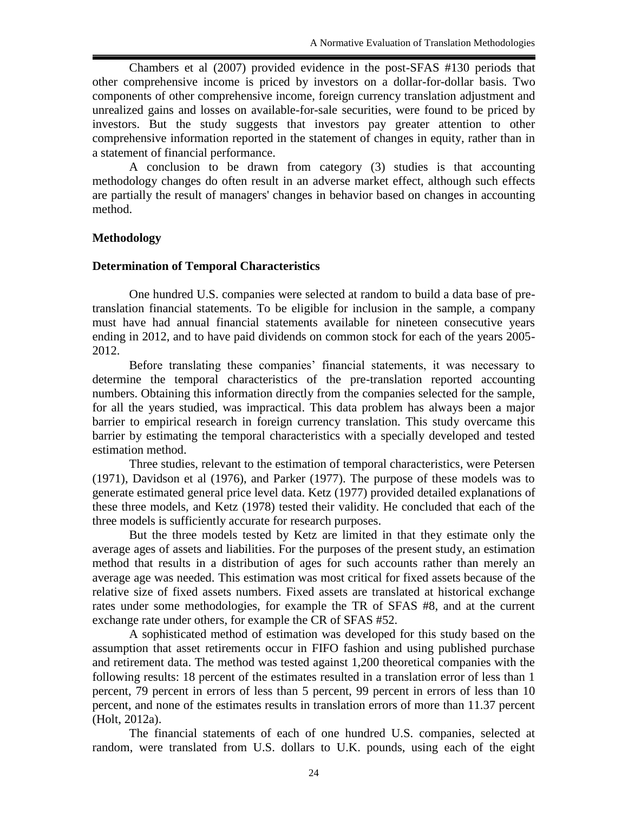Chambers et al (2007) provided evidence in the post-SFAS #130 periods that other comprehensive income is priced by investors on a dollar-for-dollar basis. Two components of other comprehensive income, foreign currency translation adjustment and unrealized gains and losses on available-for-sale securities, were found to be priced by investors. But the study suggests that investors pay greater attention to other comprehensive information reported in the statement of changes in equity, rather than in a statement of financial performance.

A conclusion to be drawn from category (3) studies is that accounting methodology changes do often result in an adverse market effect, although such effects are partially the result of managers' changes in behavior based on changes in accounting method.

# **Methodology**

### **Determination of Temporal Characteristics**

One hundred U.S. companies were selected at random to build a data base of pretranslation financial statements. To be eligible for inclusion in the sample, a company must have had annual financial statements available for nineteen consecutive years ending in 2012, and to have paid dividends on common stock for each of the years 2005- 2012.

Before translating these companies' financial statements, it was necessary to determine the temporal characteristics of the pre-translation reported accounting numbers. Obtaining this information directly from the companies selected for the sample, for all the years studied, was impractical. This data problem has always been a major barrier to empirical research in foreign currency translation. This study overcame this barrier by estimating the temporal characteristics with a specially developed and tested estimation method.

Three studies, relevant to the estimation of temporal characteristics, were Petersen (1971), Davidson et al (1976), and Parker (1977). The purpose of these models was to generate estimated general price level data. Ketz (1977) provided detailed explanations of these three models, and Ketz (1978) tested their validity. He concluded that each of the three models is sufficiently accurate for research purposes.

But the three models tested by Ketz are limited in that they estimate only the average ages of assets and liabilities. For the purposes of the present study, an estimation method that results in a distribution of ages for such accounts rather than merely an average age was needed. This estimation was most critical for fixed assets because of the relative size of fixed assets numbers. Fixed assets are translated at historical exchange rates under some methodologies, for example the TR of SFAS #8, and at the current exchange rate under others, for example the CR of SFAS #52.

A sophisticated method of estimation was developed for this study based on the assumption that asset retirements occur in FIFO fashion and using published purchase and retirement data. The method was tested against 1,200 theoretical companies with the following results: 18 percent of the estimates resulted in a translation error of less than 1 percent, 79 percent in errors of less than 5 percent, 99 percent in errors of less than 10 percent, and none of the estimates results in translation errors of more than 11.37 percent (Holt, 2012a).

The financial statements of each of one hundred U.S. companies, selected at random, were translated from U.S. dollars to U.K. pounds, using each of the eight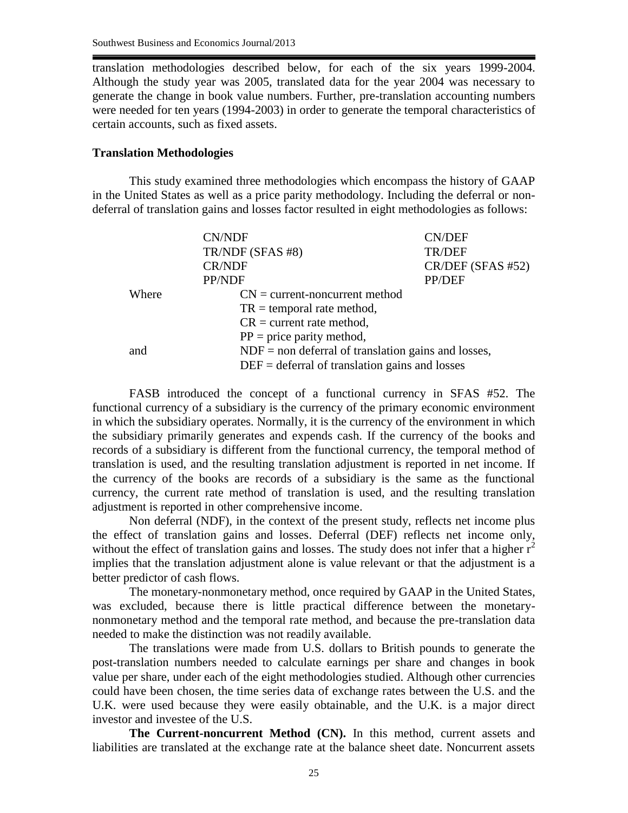translation methodologies described below, for each of the six years 1999-2004. Although the study year was 2005, translated data for the year 2004 was necessary to generate the change in book value numbers. Further, pre-translation accounting numbers were needed for ten years (1994-2003) in order to generate the temporal characteristics of certain accounts, such as fixed assets.

#### **Translation Methodologies**

This study examined three methodologies which encompass the history of GAAP in the United States as well as a price parity methodology. Including the deferral or nondeferral of translation gains and losses factor resulted in eight methodologies as follows:

|       | <b>CN/NDF</b>                                         | <b>CN/DEF</b>     |  |
|-------|-------------------------------------------------------|-------------------|--|
|       | TR/NDF (SFAS #8)                                      | TR/DEF            |  |
|       | <b>CR/NDF</b>                                         | CR/DEF (SFAS #52) |  |
|       | PP/NDF                                                | PP/DEF            |  |
| Where | $CN = current-noncurrent$ method                      |                   |  |
|       | $TR = temporal rate method,$                          |                   |  |
|       | $CR = current rate method,$                           |                   |  |
|       | $PP = price$ parity method,                           |                   |  |
| and   | $NDF =$ non deferral of translation gains and losses, |                   |  |
|       | $DEF =$ deferral of translation gains and losses      |                   |  |

FASB introduced the concept of a functional currency in SFAS #52. The functional currency of a subsidiary is the currency of the primary economic environment in which the subsidiary operates. Normally, it is the currency of the environment in which the subsidiary primarily generates and expends cash. If the currency of the books and records of a subsidiary is different from the functional currency, the temporal method of translation is used, and the resulting translation adjustment is reported in net income. If the currency of the books are records of a subsidiary is the same as the functional currency, the current rate method of translation is used, and the resulting translation adjustment is reported in other comprehensive income.

Non deferral (NDF), in the context of the present study, reflects net income plus the effect of translation gains and losses. Deferral (DEF) reflects net income only, without the effect of translation gains and losses. The study does not infer that a higher  $r^2$ implies that the translation adjustment alone is value relevant or that the adjustment is a better predictor of cash flows.

The monetary-nonmonetary method, once required by GAAP in the United States, was excluded, because there is little practical difference between the monetarynonmonetary method and the temporal rate method, and because the pre-translation data needed to make the distinction was not readily available.

The translations were made from U.S. dollars to British pounds to generate the post-translation numbers needed to calculate earnings per share and changes in book value per share, under each of the eight methodologies studied. Although other currencies could have been chosen, the time series data of exchange rates between the U.S. and the U.K. were used because they were easily obtainable, and the U.K. is a major direct investor and investee of the U.S.

**The Current-noncurrent Method (CN).** In this method, current assets and liabilities are translated at the exchange rate at the balance sheet date. Noncurrent assets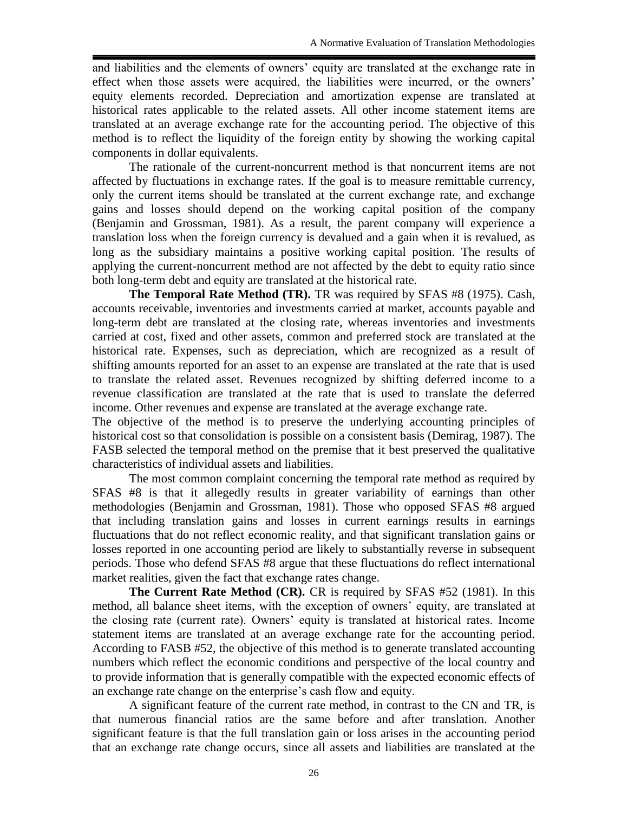and liabilities and the elements of owners' equity are translated at the exchange rate in effect when those assets were acquired, the liabilities were incurred, or the owners' equity elements recorded. Depreciation and amortization expense are translated at historical rates applicable to the related assets. All other income statement items are translated at an average exchange rate for the accounting period. The objective of this method is to reflect the liquidity of the foreign entity by showing the working capital components in dollar equivalents.

The rationale of the current-noncurrent method is that noncurrent items are not affected by fluctuations in exchange rates. If the goal is to measure remittable currency, only the current items should be translated at the current exchange rate, and exchange gains and losses should depend on the working capital position of the company (Benjamin and Grossman, 1981). As a result, the parent company will experience a translation loss when the foreign currency is devalued and a gain when it is revalued, as long as the subsidiary maintains a positive working capital position. The results of applying the current-noncurrent method are not affected by the debt to equity ratio since both long-term debt and equity are translated at the historical rate.

**The Temporal Rate Method (TR).** TR was required by SFAS #8 (1975). Cash, accounts receivable, inventories and investments carried at market, accounts payable and long-term debt are translated at the closing rate, whereas inventories and investments carried at cost, fixed and other assets, common and preferred stock are translated at the historical rate. Expenses, such as depreciation, which are recognized as a result of shifting amounts reported for an asset to an expense are translated at the rate that is used to translate the related asset. Revenues recognized by shifting deferred income to a revenue classification are translated at the rate that is used to translate the deferred income. Other revenues and expense are translated at the average exchange rate.

The objective of the method is to preserve the underlying accounting principles of historical cost so that consolidation is possible on a consistent basis (Demirag, 1987). The FASB selected the temporal method on the premise that it best preserved the qualitative characteristics of individual assets and liabilities.

The most common complaint concerning the temporal rate method as required by SFAS #8 is that it allegedly results in greater variability of earnings than other methodologies (Benjamin and Grossman, 1981). Those who opposed SFAS #8 argued that including translation gains and losses in current earnings results in earnings fluctuations that do not reflect economic reality, and that significant translation gains or losses reported in one accounting period are likely to substantially reverse in subsequent periods. Those who defend SFAS #8 argue that these fluctuations do reflect international market realities, given the fact that exchange rates change.

**The Current Rate Method (CR).** CR is required by SFAS #52 (1981). In this method, all balance sheet items, with the exception of owners' equity, are translated at the closing rate (current rate). Owners' equity is translated at historical rates. Income statement items are translated at an average exchange rate for the accounting period. According to FASB #52, the objective of this method is to generate translated accounting numbers which reflect the economic conditions and perspective of the local country and to provide information that is generally compatible with the expected economic effects of an exchange rate change on the enterprise's cash flow and equity.

A significant feature of the current rate method, in contrast to the CN and TR, is that numerous financial ratios are the same before and after translation. Another significant feature is that the full translation gain or loss arises in the accounting period that an exchange rate change occurs, since all assets and liabilities are translated at the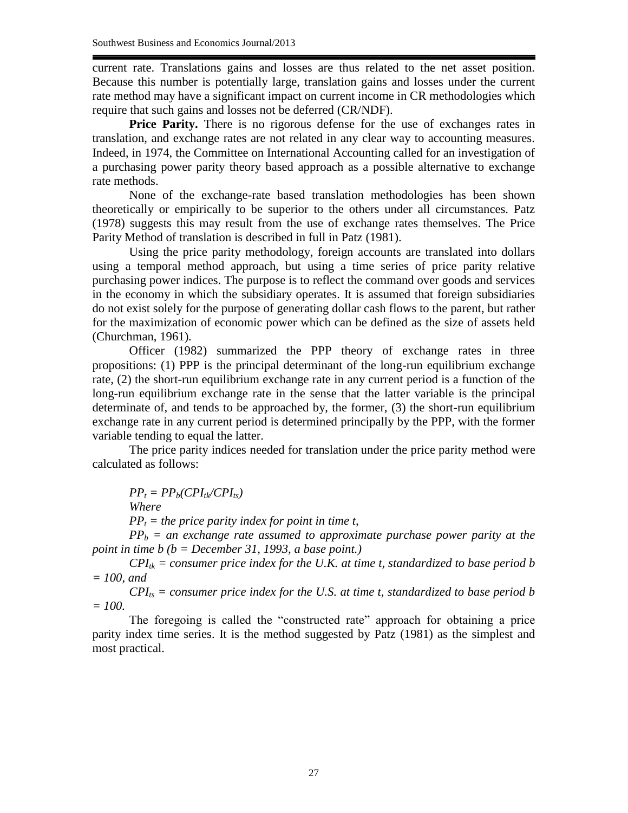current rate. Translations gains and losses are thus related to the net asset position. Because this number is potentially large, translation gains and losses under the current rate method may have a significant impact on current income in CR methodologies which require that such gains and losses not be deferred (CR/NDF).

**Price Parity.** There is no rigorous defense for the use of exchanges rates in translation, and exchange rates are not related in any clear way to accounting measures. Indeed, in 1974, the Committee on International Accounting called for an investigation of a purchasing power parity theory based approach as a possible alternative to exchange rate methods.

None of the exchange-rate based translation methodologies has been shown theoretically or empirically to be superior to the others under all circumstances. Patz (1978) suggests this may result from the use of exchange rates themselves. The Price Parity Method of translation is described in full in Patz (1981).

Using the price parity methodology, foreign accounts are translated into dollars using a temporal method approach, but using a time series of price parity relative purchasing power indices. The purpose is to reflect the command over goods and services in the economy in which the subsidiary operates. It is assumed that foreign subsidiaries do not exist solely for the purpose of generating dollar cash flows to the parent, but rather for the maximization of economic power which can be defined as the size of assets held (Churchman, 1961).

Officer (1982) summarized the PPP theory of exchange rates in three propositions: (1) PPP is the principal determinant of the long-run equilibrium exchange rate, (2) the short-run equilibrium exchange rate in any current period is a function of the long-run equilibrium exchange rate in the sense that the latter variable is the principal determinate of, and tends to be approached by, the former, (3) the short-run equilibrium exchange rate in any current period is determined principally by the PPP, with the former variable tending to equal the latter.

The price parity indices needed for translation under the price parity method were calculated as follows:

 $PP_t = PP_b(CPI_{tk}/CPI_{ts})$ *Where PP<sup>t</sup> = the price parity index for point in time t,*

 $PP_b$  = an exchange rate assumed to approximate purchase power parity at the *point in time b (b = December 31, 1993, a base point.)*

 $CPI_{ik}$  = consumer price index for the U.K. at time t, standardized to base period b *= 100, and*

 $CPI_{ts}$  = consumer price index for the U.S. at time t, standardized to base period b *= 100.*

The foregoing is called the "constructed rate" approach for obtaining a price parity index time series. It is the method suggested by Patz (1981) as the simplest and most practical.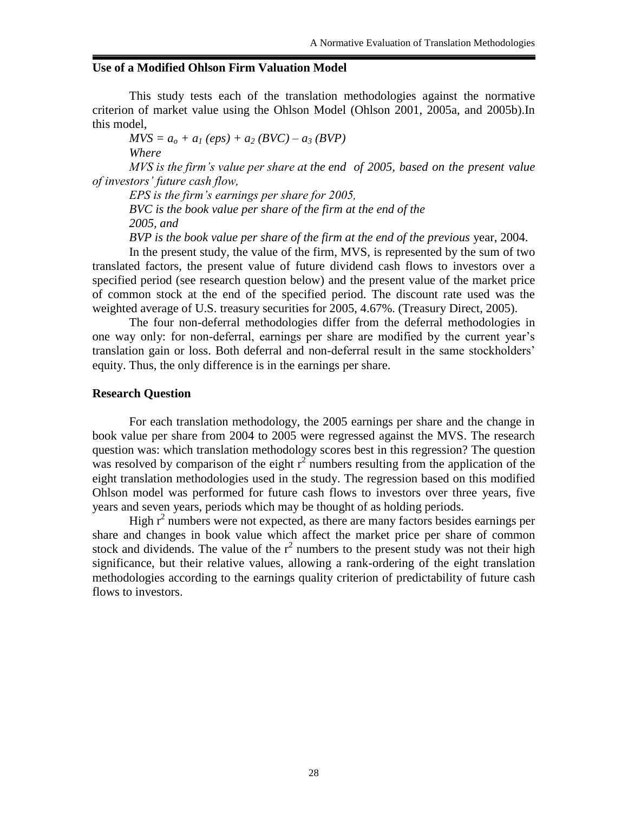# **Use of a Modified Ohlson Firm Valuation Model**

This study tests each of the translation methodologies against the normative criterion of market value using the Ohlson Model (Ohlson 2001, 2005a, and 2005b).In this model,

 $MVS = a_o + a_I (eps) + a_2 (BVC) - a_3 (BVP)$ *Where*

*MVS is the firm's value per share at the end of 2005, based on the present value of investors' future cash flow,*

*EPS is the firm's earnings per share for 2005, BVC is the book value per share of the firm at the end of the 2005, and*

*BVP is the book value per share of the firm at the end of the previous* year, 2004.

In the present study, the value of the firm, MVS, is represented by the sum of two translated factors, the present value of future dividend cash flows to investors over a specified period (see research question below) and the present value of the market price of common stock at the end of the specified period. The discount rate used was the weighted average of U.S. treasury securities for 2005, 4.67%. (Treasury Direct, 2005).

The four non-deferral methodologies differ from the deferral methodologies in one way only: for non-deferral, earnings per share are modified by the current year's translation gain or loss. Both deferral and non-deferral result in the same stockholders' equity. Thus, the only difference is in the earnings per share.

### **Research Question**

For each translation methodology, the 2005 earnings per share and the change in book value per share from 2004 to 2005 were regressed against the MVS. The research question was: which translation methodology scores best in this regression? The question was resolved by comparison of the eight  $r^2$  numbers resulting from the application of the eight translation methodologies used in the study. The regression based on this modified Ohlson model was performed for future cash flows to investors over three years, five years and seven years, periods which may be thought of as holding periods.

High  $r^2$  numbers were not expected, as there are many factors besides earnings per share and changes in book value which affect the market price per share of common stock and dividends. The value of the  $r^2$  numbers to the present study was not their high significance, but their relative values, allowing a rank-ordering of the eight translation methodologies according to the earnings quality criterion of predictability of future cash flows to investors.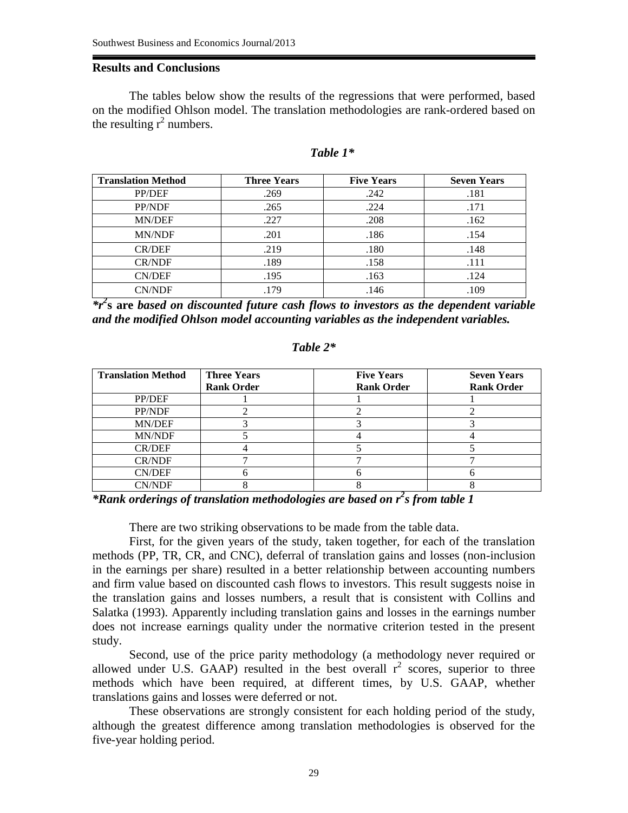## **Results and Conclusions**

The tables below show the results of the regressions that were performed, based on the modified Ohlson model. The translation methodologies are rank-ordered based on the resulting  $r^2$  numbers.

| <b>Translation Method</b> | <b>Three Years</b> | <b>Five Years</b> | <b>Seven Years</b> |
|---------------------------|--------------------|-------------------|--------------------|
| PP/DEF                    | .269               | .242              | .181               |
| PP/NDF                    | .265               | .224              | .171               |
| MN/DEF                    | .227               | .208              | .162               |
| <b>MN/NDF</b>             | .201               | .186              | .154               |
| <b>CR/DEF</b>             | .219               | .180              | .148               |
| <b>CR/NDF</b>             | .189               | .158              | .111               |
| <b>CN/DEF</b>             | .195               | .163              | .124               |
| <b>CN/NDF</b>             | .179               | .146              | .109               |

#### *Table 1\**

*\*r<sup>2</sup>* **s are** *based on discounted future cash flows to investors as the dependent variable and the modified Ohlson model accounting variables as the independent variables.*

### *Table 2\**

| <b>Translation Method</b> | <b>Three Years</b> | <b>Five Years</b> | <b>Seven Years</b> |
|---------------------------|--------------------|-------------------|--------------------|
|                           | <b>Rank Order</b>  | <b>Rank Order</b> | <b>Rank Order</b>  |
| PP/DEF                    |                    |                   |                    |
| PP/NDF                    |                    |                   |                    |
| <b>MN/DEF</b>             |                    |                   |                    |
| MN/NDF                    |                    |                   |                    |
| <b>CR/DEF</b>             |                    |                   |                    |
| <b>CR/NDF</b>             |                    |                   |                    |
| <b>CN/DEF</b>             |                    |                   |                    |
| <b>CN/NDF</b>             |                    |                   |                    |

*\*Rank orderings of translation methodologies are based on r<sup>2</sup> s from table 1*

There are two striking observations to be made from the table data.

First, for the given years of the study, taken together, for each of the translation methods (PP, TR, CR, and CNC), deferral of translation gains and losses (non-inclusion in the earnings per share) resulted in a better relationship between accounting numbers and firm value based on discounted cash flows to investors. This result suggests noise in the translation gains and losses numbers, a result that is consistent with Collins and Salatka (1993). Apparently including translation gains and losses in the earnings number does not increase earnings quality under the normative criterion tested in the present study.

Second, use of the price parity methodology (a methodology never required or allowed under U.S. GAAP) resulted in the best overall  $r^2$  scores, superior to three methods which have been required, at different times, by U.S. GAAP, whether translations gains and losses were deferred or not.

These observations are strongly consistent for each holding period of the study, although the greatest difference among translation methodologies is observed for the five-year holding period.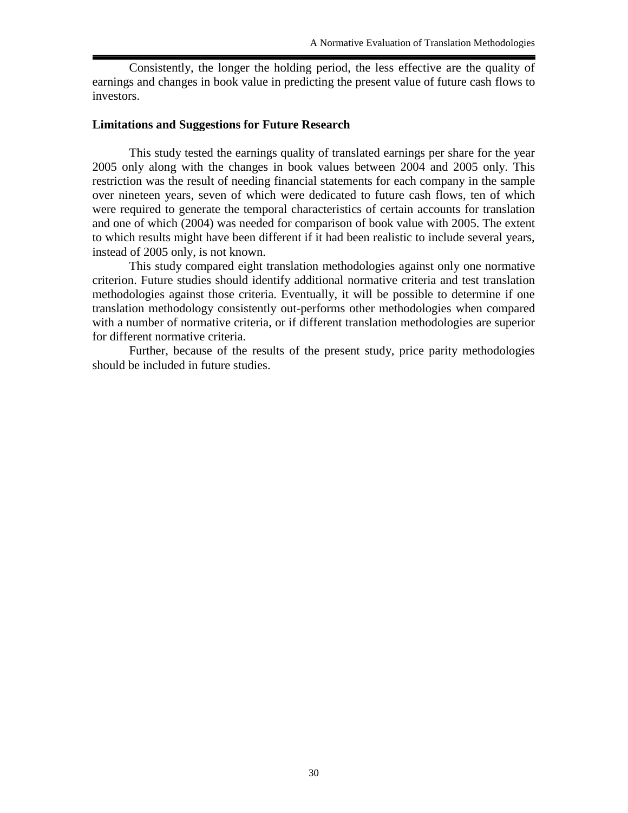Consistently, the longer the holding period, the less effective are the quality of earnings and changes in book value in predicting the present value of future cash flows to investors.

### **Limitations and Suggestions for Future Research**

This study tested the earnings quality of translated earnings per share for the year 2005 only along with the changes in book values between 2004 and 2005 only. This restriction was the result of needing financial statements for each company in the sample over nineteen years, seven of which were dedicated to future cash flows, ten of which were required to generate the temporal characteristics of certain accounts for translation and one of which (2004) was needed for comparison of book value with 2005. The extent to which results might have been different if it had been realistic to include several years, instead of 2005 only, is not known.

This study compared eight translation methodologies against only one normative criterion. Future studies should identify additional normative criteria and test translation methodologies against those criteria. Eventually, it will be possible to determine if one translation methodology consistently out-performs other methodologies when compared with a number of normative criteria, or if different translation methodologies are superior for different normative criteria.

Further, because of the results of the present study, price parity methodologies should be included in future studies.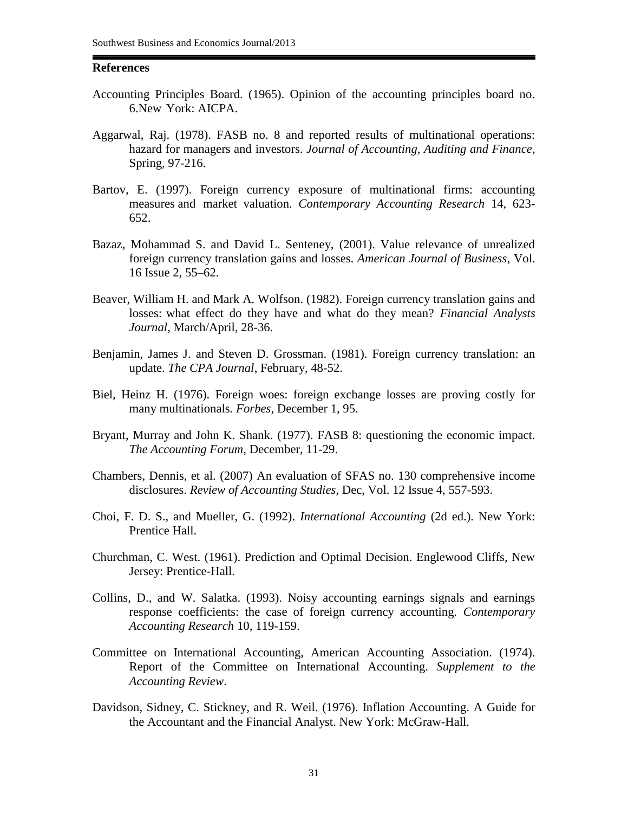### **References**

- Accounting Principles Board. (1965). Opinion of the accounting principles board no. 6.New York: AICPA.
- Aggarwal, Raj. (1978). FASB no. 8 and reported results of multinational operations: hazard for managers and investors. *Journal of Accounting, Auditing and Finance*, Spring, 97-216.
- Bartov, E. (1997). Foreign currency exposure of multinational firms: accounting measures and market valuation. *Contemporary Accounting Research* 14, 623- 652.
- Bazaz, Mohammad S. and David L. Senteney, (2001). Value relevance of unrealized foreign currency translation gains and losses. *American Journal of Business*, Vol. 16 Issue 2, 55–62.
- Beaver, William H. and Mark A. Wolfson. (1982). Foreign currency translation gains and losses: what effect do they have and what do they mean? *Financial Analysts Journal*, March/April, 28-36.
- Benjamin, James J. and Steven D. Grossman. (1981). Foreign currency translation: an update. *The CPA Journal*, February, 48-52.
- Biel, Heinz H. (1976). Foreign woes: foreign exchange losses are proving costly for many multinationals*. Forbes,* December 1, 95.
- Bryant, Murray and John K. Shank. (1977). FASB 8: questioning the economic impact. *The Accounting Forum*, December, 11-29.
- Chambers, Dennis, et al. (2007) [An evaluation of SFAS no. 130 comprehensive income](http://web.ebscohost.com/ehost/viewarticle?data=dGJyMPPp44rp2%2fdV0%2bnjisfk5Ie46bdIrq%2bxUbKk63nn5Kx95uXxjL6urUq2pbBIrq6eSa%2bwr1G4qbA4v8OkjPDX7Ivf2fKB7eTnfLujr1CuqLBJsq%2bwTqTi34bls%2bOGpNrgVeDq5j7y1%2bVVv8SkeeyzsE61qrZLtqekfu3o63nys%2bSN6uLyffbq&hid=105) [disclosures.](http://web.ebscohost.com/ehost/viewarticle?data=dGJyMPPp44rp2%2fdV0%2bnjisfk5Ie46bdIrq%2bxUbKk63nn5Kx95uXxjL6urUq2pbBIrq6eSa%2bwr1G4qbA4v8OkjPDX7Ivf2fKB7eTnfLujr1CuqLBJsq%2bwTqTi34bls%2bOGpNrgVeDq5j7y1%2bVVv8SkeeyzsE61qrZLtqekfu3o63nys%2bSN6uLyffbq&hid=105) *Review of Accounting Studies*, Dec, Vol. 12 Issue 4, 557-593.
- Choi, F. D. S., and Mueller, G. (1992). *International Accounting* (2d ed.). New York: Prentice Hall.
- Churchman, C. West. (1961). Prediction and Optimal Decision. Englewood Cliffs, New Jersey: Prentice-Hall.
- Collins, D., and W. Salatka. (1993). Noisy accounting earnings signals and earnings response coefficients: the case of foreign currency accounting. *Contemporary Accounting Research* 10, 119-159.
- Committee on International Accounting, American Accounting Association. (1974). Report of the Committee on International Accounting. *Supplement to the Accounting Review*.
- Davidson, Sidney, C. Stickney, and R. Weil. (1976). Inflation Accounting. A Guide for the Accountant and the Financial Analyst. New York: McGraw-Hall.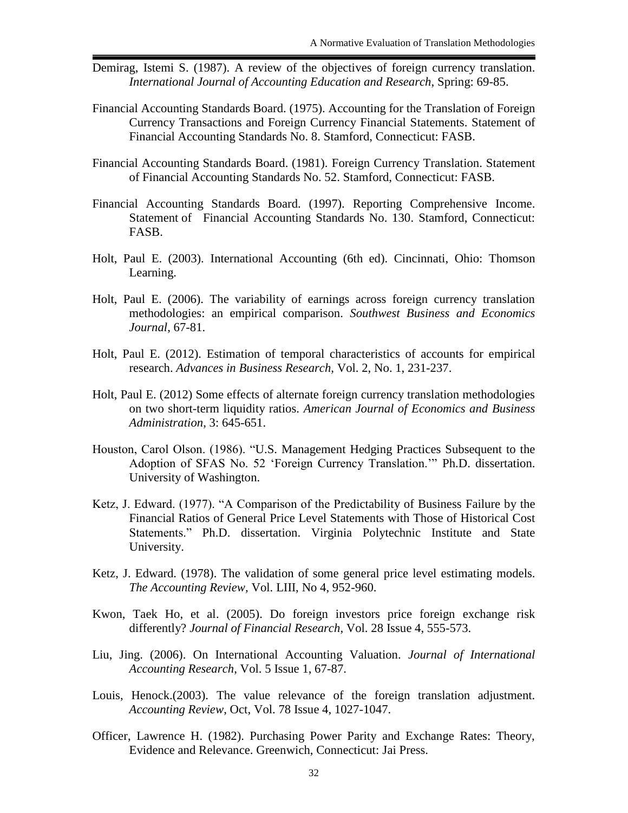- Demirag, Istemi S. (1987). A review of the objectives of foreign currency translation. *International Journal of Accounting Education and Research*, Spring: 69-85.
- Financial Accounting Standards Board. (1975). Accounting for the Translation of Foreign Currency Transactions and Foreign Currency Financial Statements. Statement of Financial Accounting Standards No. 8. Stamford, Connecticut: FASB.
- Financial Accounting Standards Board. (1981). Foreign Currency Translation. Statement of Financial Accounting Standards No. 52. Stamford, Connecticut: FASB.
- Financial Accounting Standards Board. (1997). Reporting Comprehensive Income. Statement of Financial Accounting Standards No. 130. Stamford, Connecticut: FASB.
- Holt, Paul E. (2003). International Accounting (6th ed). Cincinnati, Ohio: Thomson Learning.
- Holt, Paul E. (2006). The variability of earnings across foreign currency translation methodologies: an empirical comparison. *Southwest Business and Economics Journal*, 67-81.
- Holt, Paul E. (2012). Estimation of temporal characteristics of accounts for empirical research. *Advances in Business Research,* Vol. 2, No. 1, 231-237.
- Holt, Paul E. (2012) Some effects of alternate foreign currency translation methodologies on two short-term liquidity ratios. *American Journal of Economics and Business Administration*, 3: 645-651.
- Houston, Carol Olson. (1986). "U.S. Management Hedging Practices Subsequent to the Adoption of SFAS No. 52 'Foreign Currency Translation.'" Ph.D. dissertation. University of Washington.
- Ketz, J. Edward. (1977). "A Comparison of the Predictability of Business Failure by the Financial Ratios of General Price Level Statements with Those of Historical Cost Statements." Ph.D. dissertation. Virginia Polytechnic Institute and State University.
- Ketz, J. Edward. (1978). The validation of some general price level estimating models. *The Accounting Review,* Vol. LIII, No 4, 952-960.
- Kwon, Taek Ho, et al. (2005). [Do foreign investors price foreign exchange risk](http://web.ebscohost.com/ehost/viewarticle?data=dGJyMPPp44rp2%2fdV0%2bnjisfk5Ie46bdIrq%2bxUbKk63nn5Kx95uXxjL6urUq2pbBIrq6eSa%2bwr1G4qbA4v8OkjPDX7Ivf2fKB7eTnfLujr1CuqLBJsq%2bwTqTi34bls%2bOGpNrgVeDq5j7y1%2bVVv8Skeeyzr1C0p7FNsqakfu3o63nys%2bSN6uLyffbq&hid=105) [differently?](http://web.ebscohost.com/ehost/viewarticle?data=dGJyMPPp44rp2%2fdV0%2bnjisfk5Ie46bdIrq%2bxUbKk63nn5Kx95uXxjL6urUq2pbBIrq6eSa%2bwr1G4qbA4v8OkjPDX7Ivf2fKB7eTnfLujr1CuqLBJsq%2bwTqTi34bls%2bOGpNrgVeDq5j7y1%2bVVv8Skeeyzr1C0p7FNsqakfu3o63nys%2bSN6uLyffbq&hid=105) *Journal of Financial Research*, Vol. 28 Issue 4, 555-573.
- Liu, Jing. (2006). [On International Accounting Valuation.](http://web.ebscohost.com/ehost/viewarticle?data=dGJyMPPp44rp2%2fdV0%2bnjisfk5Ie46bdIrq%2bxUbKk63nn5Kx95uXxjL6urUq2pbBIrq6eSa%2bwr1G4qbA4v8OkjPDX7Ivf2fKB7eTnfLujr1CuqLBJsq%2bwTqTi34bls%2bOGpNrgVeDq5j7y1%2bVVv8SkeeyzsEq1r7ZRsq6kfu3o63nys%2bSN6uLyffbq&hid=105) *Journal of International Accounting Research*, Vol. 5 Issue 1, 67-87.
- Louis, Henock.(2003). [The value relevance of the foreign translation adjustment.](http://web.ebscohost.com/ehost/viewarticle?data=dGJyMPPp44rp2%2fdV0%2bnjisfk5Ie46bdIrq%2bxUbKk63nn5Kx95uXxjL6urUq2pbBIrq6eSa%2bwr1G4qbA4v8OkjPDX7Ivf2fKB7eTnfLujr1CuqLBJsq%2bwTqTi34bls%2bOGpNrgVeDq5j7y1%2bVVv8Skeeyzr0m1qK9Lt6ikfu3o63nys%2bSN6uLyffbq&hid=105) *Accounting Review*, Oct, Vol. 78 Issue 4, 1027-1047.
- Officer, Lawrence H. (1982). Purchasing Power Parity and Exchange Rates: Theory, Evidence and Relevance. Greenwich, Connecticut: Jai Press.